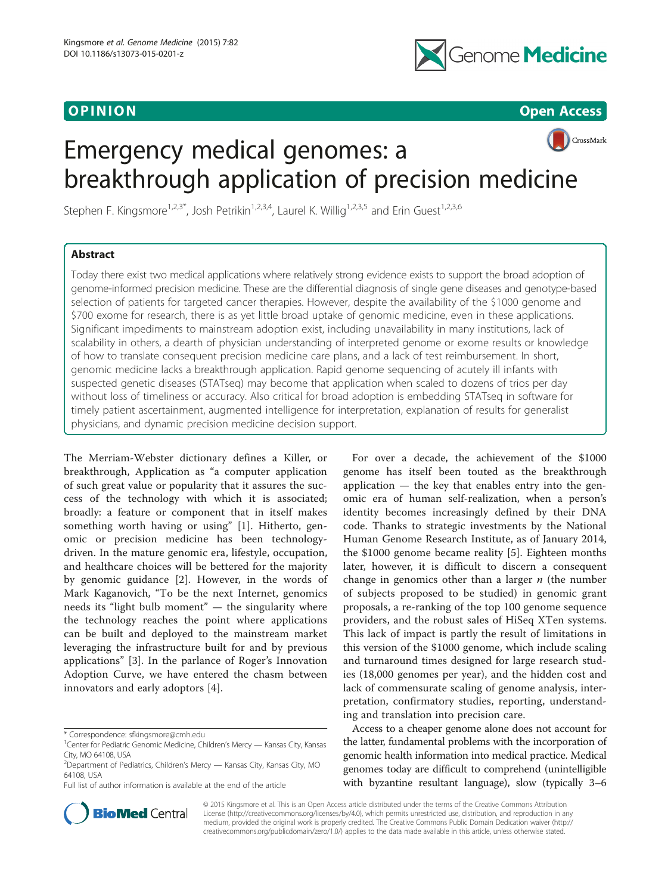

**OPINION** CONSULTANT CONTINUES IN THE CONSULTANT OF CONSULTANT CONTINUES IN THE CONSULTANT OPEN ACCESS OF CONSULTANT CONTINUES IN THE CONSULTANT OF CONSULTANT OF CONSULTANT OF CONSULTANT CONTINUES IN THE CONSULTANT OF CONS

# CrossMark Emergency medical genomes: a breakthrough application of precision medicine

Stephen F. Kingsmore<sup>1,2,3\*</sup>, Josh Petrikin<sup>1,2,3,4</sup>, Laurel K. Willig<sup>1,2,3,5</sup> and Erin Guest<sup>1,2,3,6</sup>

# Abstract

Today there exist two medical applications where relatively strong evidence exists to support the broad adoption of genome-informed precision medicine. These are the differential diagnosis of single gene diseases and genotype-based selection of patients for targeted cancer therapies. However, despite the availability of the \$1000 genome and \$700 exome for research, there is as yet little broad uptake of genomic medicine, even in these applications. Significant impediments to mainstream adoption exist, including unavailability in many institutions, lack of scalability in others, a dearth of physician understanding of interpreted genome or exome results or knowledge of how to translate consequent precision medicine care plans, and a lack of test reimbursement. In short, genomic medicine lacks a breakthrough application. Rapid genome sequencing of acutely ill infants with suspected genetic diseases (STATseq) may become that application when scaled to dozens of trios per day without loss of timeliness or accuracy. Also critical for broad adoption is embedding STATseq in software for timely patient ascertainment, augmented intelligence for interpretation, explanation of results for generalist physicians, and dynamic precision medicine decision support.

The Merriam-Webster dictionary defines a Killer, or breakthrough, Application as "a computer application of such great value or popularity that it assures the success of the technology with which it is associated; broadly: a feature or component that in itself makes something worth having or using" [\[1](#page-5-0)]. Hitherto, genomic or precision medicine has been technologydriven. In the mature genomic era, lifestyle, occupation, and healthcare choices will be bettered for the majority by genomic guidance [[2\]](#page-5-0). However, in the words of Mark Kaganovich, "To be the next Internet, genomics needs its "light bulb moment" — the singularity where the technology reaches the point where applications can be built and deployed to the mainstream market leveraging the infrastructure built for and by previous applications" [\[3](#page-5-0)]. In the parlance of Roger's Innovation Adoption Curve, we have entered the chasm between innovators and early adoptors [\[4](#page-5-0)].

Full list of author information is available at the end of the article



Access to a cheaper genome alone does not account for the latter, fundamental problems with the incorporation of genomic health information into medical practice. Medical genomes today are difficult to comprehend (unintelligible with byzantine resultant language), slow (typically 3–6



© 2015 Kingsmore et al. This is an Open Access article distributed under the terms of the Creative Commons Attribution License (<http://creativecommons.org/licenses/by/4.0>), which permits unrestricted use, distribution, and reproduction in any medium, provided the original work is properly credited. The Creative Commons Public Domain Dedication waiver [\(http://](http://creativecommons.org/publicdomain/zero/1.0/) [creativecommons.org/publicdomain/zero/1.0/\)](http://creativecommons.org/publicdomain/zero/1.0/) applies to the data made available in this article, unless otherwise stated.

<sup>\*</sup> Correspondence: [sfkingsmore@cmh.edu](mailto:sfkingsmore@cmh.edu) <sup>1</sup>

<sup>&</sup>lt;sup>1</sup> Center for Pediatric Genomic Medicine, Children's Mercy — Kansas City, Kansas City, MO 64108, USA

<sup>2</sup> Department of Pediatrics, Children's Mercy — Kansas City, Kansas City, MO 64108, USA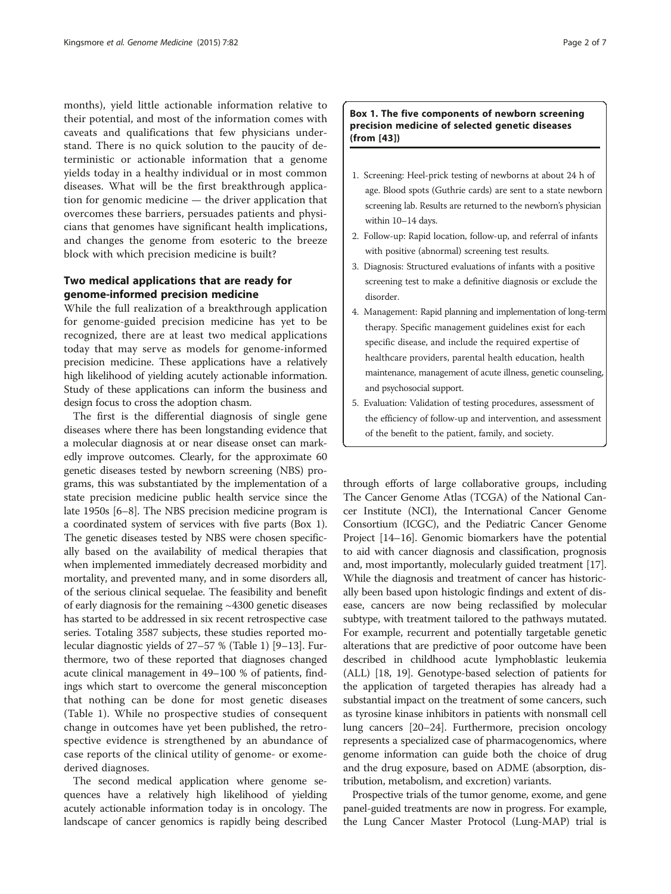months), yield little actionable information relative to their potential, and most of the information comes with caveats and qualifications that few physicians understand. There is no quick solution to the paucity of deterministic or actionable information that a genome yields today in a healthy individual or in most common diseases. What will be the first breakthrough application for genomic medicine — the driver application that overcomes these barriers, persuades patients and physicians that genomes have significant health implications, and changes the genome from esoteric to the breeze block with which precision medicine is built?

# Two medical applications that are ready for genome-informed precision medicine

While the full realization of a breakthrough application for genome-guided precision medicine has yet to be recognized, there are at least two medical applications today that may serve as models for genome-informed precision medicine. These applications have a relatively high likelihood of yielding acutely actionable information. Study of these applications can inform the business and design focus to cross the adoption chasm.

The first is the differential diagnosis of single gene diseases where there has been longstanding evidence that a molecular diagnosis at or near disease onset can markedly improve outcomes. Clearly, for the approximate 60 genetic diseases tested by newborn screening (NBS) programs, this was substantiated by the implementation of a state precision medicine public health service since the late 1950s [\[6](#page-5-0)–[8\]](#page-5-0). The NBS precision medicine program is a coordinated system of services with five parts (Box 1). The genetic diseases tested by NBS were chosen specifically based on the availability of medical therapies that when implemented immediately decreased morbidity and mortality, and prevented many, and in some disorders all, of the serious clinical sequelae. The feasibility and benefit of early diagnosis for the remaining ~4300 genetic diseases has started to be addressed in six recent retrospective case series. Totaling 3587 subjects, these studies reported molecular diagnostic yields of 27–57 % (Table [1\)](#page-2-0) [\[9](#page-5-0)–[13](#page-5-0)]. Furthermore, two of these reported that diagnoses changed acute clinical management in 49–100 % of patients, findings which start to overcome the general misconception that nothing can be done for most genetic diseases (Table [1\)](#page-2-0). While no prospective studies of consequent change in outcomes have yet been published, the retrospective evidence is strengthened by an abundance of case reports of the clinical utility of genome- or exomederived diagnoses.

The second medical application where genome sequences have a relatively high likelihood of yielding acutely actionable information today is in oncology. The landscape of cancer genomics is rapidly being described

# Box 1. The five components of newborn screening precision medicine of selected genetic diseases (from [[43](#page-6-0)])

- 1. Screening: Heel-prick testing of newborns at about 24 h of age. Blood spots (Guthrie cards) are sent to a state newborn screening lab. Results are returned to the newborn's physician within 10–14 days.
- 2. Follow-up: Rapid location, follow-up, and referral of infants with positive (abnormal) screening test results.
- 3. Diagnosis: Structured evaluations of infants with a positive screening test to make a definitive diagnosis or exclude the disorder.
- 4. Management: Rapid planning and implementation of long-term therapy. Specific management guidelines exist for each specific disease, and include the required expertise of healthcare providers, parental health education, health maintenance, management of acute illness, genetic counseling, and psychosocial support.
- 5. Evaluation: Validation of testing procedures, assessment of the efficiency of follow-up and intervention, and assessment of the benefit to the patient, family, and society.

through efforts of large collaborative groups, including The Cancer Genome Atlas (TCGA) of the National Cancer Institute (NCI), the International Cancer Genome Consortium (ICGC), and the Pediatric Cancer Genome Project [\[14](#page-5-0)–[16](#page-5-0)]. Genomic biomarkers have the potential to aid with cancer diagnosis and classification, prognosis and, most importantly, molecularly guided treatment [[17](#page-5-0)]. While the diagnosis and treatment of cancer has historically been based upon histologic findings and extent of disease, cancers are now being reclassified by molecular subtype, with treatment tailored to the pathways mutated. For example, recurrent and potentially targetable genetic alterations that are predictive of poor outcome have been described in childhood acute lymphoblastic leukemia (ALL) [\[18, 19\]](#page-5-0). Genotype-based selection of patients for the application of targeted therapies has already had a substantial impact on the treatment of some cancers, such as tyrosine kinase inhibitors in patients with nonsmall cell lung cancers [\[20](#page-5-0)–[24](#page-6-0)]. Furthermore, precision oncology represents a specialized case of pharmacogenomics, where genome information can guide both the choice of drug and the drug exposure, based on ADME (absorption, distribution, metabolism, and excretion) variants.

Prospective trials of the tumor genome, exome, and gene panel-guided treatments are now in progress. For example, the Lung Cancer Master Protocol (Lung-MAP) trial is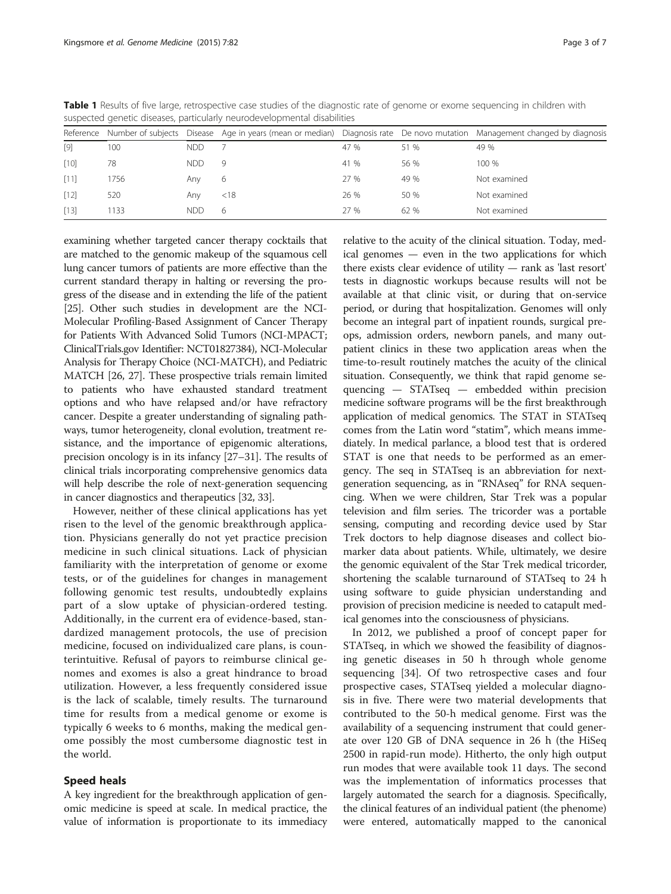|        |      |            |      |      |      | Reference Number of subjects Disease Age in years (mean or median) Diagnosis rate De novo mutation Management changed by diagnosis |
|--------|------|------------|------|------|------|------------------------------------------------------------------------------------------------------------------------------------|
| $[9]$  | 100  | <b>NDD</b> |      | 47 % | 51 % | 49 %                                                                                                                               |
| [10]   | 78   | <b>NDD</b> | 9    | 41 % | 56 % | 100 %                                                                                                                              |
| $[11]$ | 1756 | Any        | 6    | 27 % | 49 % | Not examined                                                                                                                       |
| [12]   | 520  | Any        | < 18 | 26 % | 50 % | Not examined                                                                                                                       |
| [13]   | 133  | <b>NDD</b> | 6    | 27 % | 62 % | Not examined                                                                                                                       |

<span id="page-2-0"></span>Table 1 Results of five large, retrospective case studies of the diagnostic rate of genome or exome sequencing in children with suspected genetic diseases, particularly neurodevelopmental disabilities

examining whether targeted cancer therapy cocktails that are matched to the genomic makeup of the squamous cell lung cancer tumors of patients are more effective than the current standard therapy in halting or reversing the progress of the disease and in extending the life of the patient [[25](#page-6-0)]. Other such studies in development are the NCI-Molecular Profiling-Based Assignment of Cancer Therapy for Patients With Advanced Solid Tumors (NCI-MPACT; ClinicalTrials.gov Identifier: NCT01827384), NCI-Molecular Analysis for Therapy Choice (NCI-MATCH), and Pediatric MATCH [[26, 27\]](#page-6-0). These prospective trials remain limited to patients who have exhausted standard treatment options and who have relapsed and/or have refractory cancer. Despite a greater understanding of signaling pathways, tumor heterogeneity, clonal evolution, treatment resistance, and the importance of epigenomic alterations, precision oncology is in its infancy [[27](#page-6-0)–[31\]](#page-6-0). The results of clinical trials incorporating comprehensive genomics data will help describe the role of next-generation sequencing in cancer diagnostics and therapeutics [[32](#page-6-0), [33\]](#page-6-0).

However, neither of these clinical applications has yet risen to the level of the genomic breakthrough application. Physicians generally do not yet practice precision medicine in such clinical situations. Lack of physician familiarity with the interpretation of genome or exome tests, or of the guidelines for changes in management following genomic test results, undoubtedly explains part of a slow uptake of physician-ordered testing. Additionally, in the current era of evidence-based, standardized management protocols, the use of precision medicine, focused on individualized care plans, is counterintuitive. Refusal of payors to reimburse clinical genomes and exomes is also a great hindrance to broad utilization. However, a less frequently considered issue is the lack of scalable, timely results. The turnaround time for results from a medical genome or exome is typically 6 weeks to 6 months, making the medical genome possibly the most cumbersome diagnostic test in the world.

# Speed heals

A key ingredient for the breakthrough application of genomic medicine is speed at scale. In medical practice, the value of information is proportionate to its immediacy

relative to the acuity of the clinical situation. Today, medical genomes — even in the two applications for which there exists clear evidence of utility — rank as 'last resort' tests in diagnostic workups because results will not be available at that clinic visit, or during that on-service period, or during that hospitalization. Genomes will only become an integral part of inpatient rounds, surgical preops, admission orders, newborn panels, and many outpatient clinics in these two application areas when the time-to-result routinely matches the acuity of the clinical situation. Consequently, we think that rapid genome sequencing — STATseq — embedded within precision medicine software programs will be the first breakthrough application of medical genomics. The STAT in STATseq comes from the Latin word "statim", which means immediately. In medical parlance, a blood test that is ordered STAT is one that needs to be performed as an emergency. The seq in STATseq is an abbreviation for nextgeneration sequencing, as in "RNAseq" for RNA sequencing. When we were children, Star Trek was a popular television and film series. The tricorder was a portable sensing, computing and recording device used by Star Trek doctors to help diagnose diseases and collect biomarker data about patients. While, ultimately, we desire the genomic equivalent of the Star Trek medical tricorder, shortening the scalable turnaround of STATseq to 24 h using software to guide physician understanding and provision of precision medicine is needed to catapult medical genomes into the consciousness of physicians.

In 2012, we published a proof of concept paper for STATseq, in which we showed the feasibility of diagnosing genetic diseases in 50 h through whole genome sequencing [\[34\]](#page-6-0). Of two retrospective cases and four prospective cases, STATseq yielded a molecular diagnosis in five. There were two material developments that contributed to the 50-h medical genome. First was the availability of a sequencing instrument that could generate over 120 GB of DNA sequence in 26 h (the HiSeq 2500 in rapid-run mode). Hitherto, the only high output run modes that were available took 11 days. The second was the implementation of informatics processes that largely automated the search for a diagnosis. Specifically, the clinical features of an individual patient (the phenome) were entered, automatically mapped to the canonical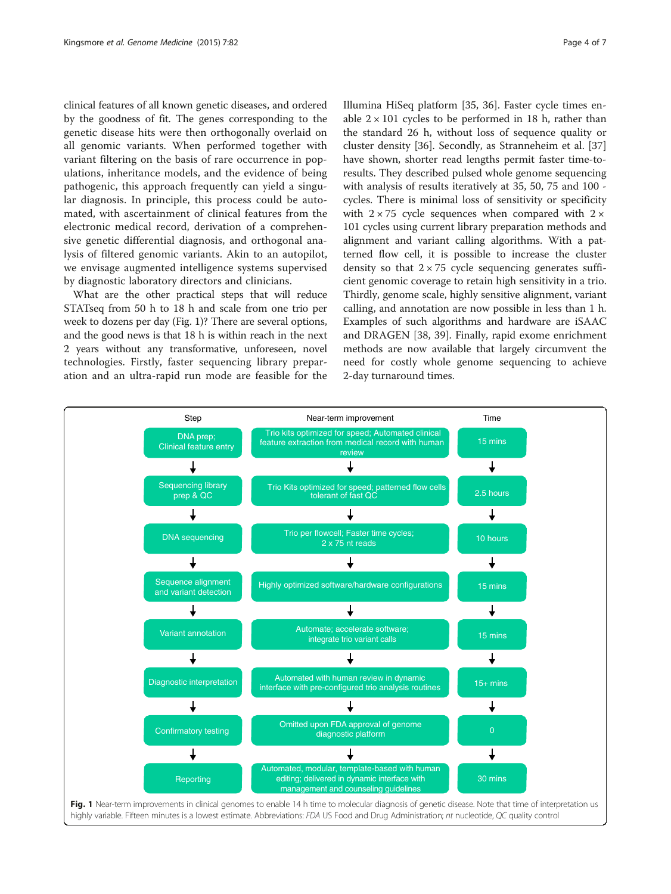clinical features of all known genetic diseases, and ordered by the goodness of fit. The genes corresponding to the genetic disease hits were then orthogonally overlaid on all genomic variants. When performed together with variant filtering on the basis of rare occurrence in populations, inheritance models, and the evidence of being pathogenic, this approach frequently can yield a singular diagnosis. In principle, this process could be automated, with ascertainment of clinical features from the electronic medical record, derivation of a comprehensive genetic differential diagnosis, and orthogonal analysis of filtered genomic variants. Akin to an autopilot, we envisage augmented intelligence systems supervised by diagnostic laboratory directors and clinicians.

What are the other practical steps that will reduce STATseq from 50 h to 18 h and scale from one trio per week to dozens per day (Fig. 1)? There are several options, and the good news is that 18 h is within reach in the next 2 years without any transformative, unforeseen, novel technologies. Firstly, faster sequencing library preparation and an ultra-rapid run mode are feasible for the

Illumina HiSeq platform [\[35, 36\]](#page-6-0). Faster cycle times enable  $2 \times 101$  cycles to be performed in 18 h, rather than the standard 26 h, without loss of sequence quality or cluster density [\[36\]](#page-6-0). Secondly, as Stranneheim et al. [[37](#page-6-0)] have shown, shorter read lengths permit faster time-toresults. They described pulsed whole genome sequencing with analysis of results iteratively at 35, 50, 75 and 100 cycles. There is minimal loss of sensitivity or specificity with  $2 \times 75$  cycle sequences when compared with  $2 \times$ 101 cycles using current library preparation methods and alignment and variant calling algorithms. With a patterned flow cell, it is possible to increase the cluster density so that  $2 \times 75$  cycle sequencing generates sufficient genomic coverage to retain high sensitivity in a trio. Thirdly, genome scale, highly sensitive alignment, variant calling, and annotation are now possible in less than 1 h. Examples of such algorithms and hardware are iSAAC and DRAGEN [\[38](#page-6-0), [39\]](#page-6-0). Finally, rapid exome enrichment methods are now available that largely circumvent the need for costly whole genome sequencing to achieve 2-day turnaround times.

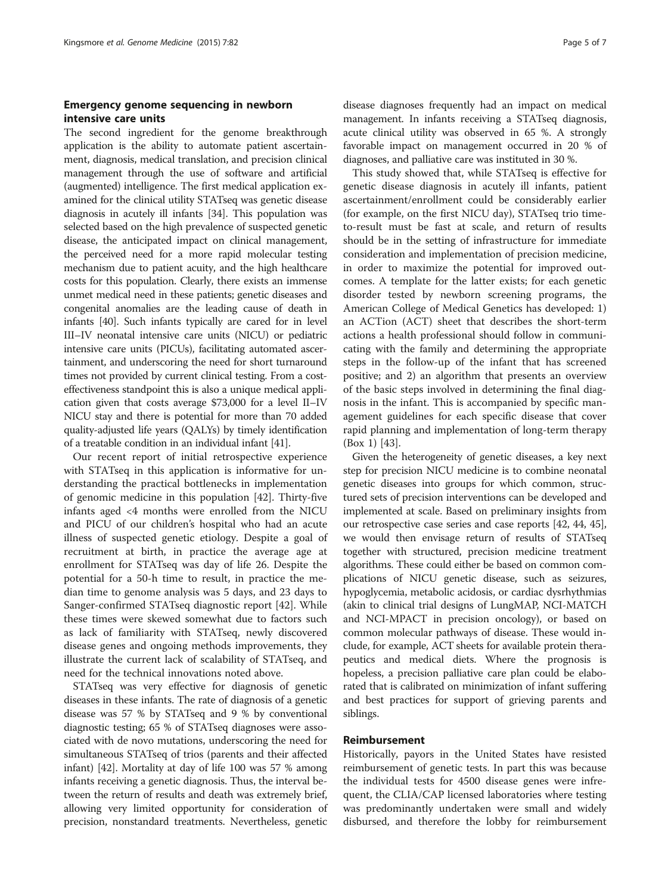# Emergency genome sequencing in newborn intensive care units

The second ingredient for the genome breakthrough application is the ability to automate patient ascertainment, diagnosis, medical translation, and precision clinical management through the use of software and artificial (augmented) intelligence. The first medical application examined for the clinical utility STATseq was genetic disease diagnosis in acutely ill infants [\[34](#page-6-0)]. This population was selected based on the high prevalence of suspected genetic disease, the anticipated impact on clinical management, the perceived need for a more rapid molecular testing mechanism due to patient acuity, and the high healthcare costs for this population. Clearly, there exists an immense unmet medical need in these patients; genetic diseases and congenital anomalies are the leading cause of death in infants [\[40](#page-6-0)]. Such infants typically are cared for in level III–IV neonatal intensive care units (NICU) or pediatric intensive care units (PICUs), facilitating automated ascertainment, and underscoring the need for short turnaround times not provided by current clinical testing. From a costeffectiveness standpoint this is also a unique medical application given that costs average \$73,000 for a level II–IV NICU stay and there is potential for more than 70 added quality-adjusted life years (QALYs) by timely identification of a treatable condition in an individual infant [\[41\]](#page-6-0).

Our recent report of initial retrospective experience with STATseq in this application is informative for understanding the practical bottlenecks in implementation of genomic medicine in this population [\[42](#page-6-0)]. Thirty-five infants aged <4 months were enrolled from the NICU and PICU of our children's hospital who had an acute illness of suspected genetic etiology. Despite a goal of recruitment at birth, in practice the average age at enrollment for STATseq was day of life 26. Despite the potential for a 50-h time to result, in practice the median time to genome analysis was 5 days, and 23 days to Sanger-confirmed STATseq diagnostic report [[42](#page-6-0)]. While these times were skewed somewhat due to factors such as lack of familiarity with STATseq, newly discovered disease genes and ongoing methods improvements, they illustrate the current lack of scalability of STATseq, and need for the technical innovations noted above.

STATseq was very effective for diagnosis of genetic diseases in these infants. The rate of diagnosis of a genetic disease was 57 % by STATseq and 9 % by conventional diagnostic testing; 65 % of STATseq diagnoses were associated with de novo mutations, underscoring the need for simultaneous STATseq of trios (parents and their affected infant) [[42](#page-6-0)]. Mortality at day of life 100 was 57 % among infants receiving a genetic diagnosis. Thus, the interval between the return of results and death was extremely brief, allowing very limited opportunity for consideration of precision, nonstandard treatments. Nevertheless, genetic

disease diagnoses frequently had an impact on medical management. In infants receiving a STATseq diagnosis, acute clinical utility was observed in 65 %. A strongly favorable impact on management occurred in 20 % of diagnoses, and palliative care was instituted in 30 %.

This study showed that, while STATseq is effective for genetic disease diagnosis in acutely ill infants, patient ascertainment/enrollment could be considerably earlier (for example, on the first NICU day), STATseq trio timeto-result must be fast at scale, and return of results should be in the setting of infrastructure for immediate consideration and implementation of precision medicine, in order to maximize the potential for improved outcomes. A template for the latter exists; for each genetic disorder tested by newborn screening programs, the American College of Medical Genetics has developed: 1) an ACTion (ACT) sheet that describes the short-term actions a health professional should follow in communicating with the family and determining the appropriate steps in the follow-up of the infant that has screened positive; and 2) an algorithm that presents an overview of the basic steps involved in determining the final diagnosis in the infant. This is accompanied by specific management guidelines for each specific disease that cover rapid planning and implementation of long-term therapy (Box 1) [[43\]](#page-6-0).

Given the heterogeneity of genetic diseases, a key next step for precision NICU medicine is to combine neonatal genetic diseases into groups for which common, structured sets of precision interventions can be developed and implemented at scale. Based on preliminary insights from our retrospective case series and case reports [\[42, 44, 45](#page-6-0)], we would then envisage return of results of STATseq together with structured, precision medicine treatment algorithms. These could either be based on common complications of NICU genetic disease, such as seizures, hypoglycemia, metabolic acidosis, or cardiac dysrhythmias (akin to clinical trial designs of LungMAP, NCI-MATCH and NCI-MPACT in precision oncology), or based on common molecular pathways of disease. These would include, for example, ACT sheets for available protein therapeutics and medical diets. Where the prognosis is hopeless, a precision palliative care plan could be elaborated that is calibrated on minimization of infant suffering and best practices for support of grieving parents and siblings.

## Reimbursement

Historically, payors in the United States have resisted reimbursement of genetic tests. In part this was because the individual tests for 4500 disease genes were infrequent, the CLIA/CAP licensed laboratories where testing was predominantly undertaken were small and widely disbursed, and therefore the lobby for reimbursement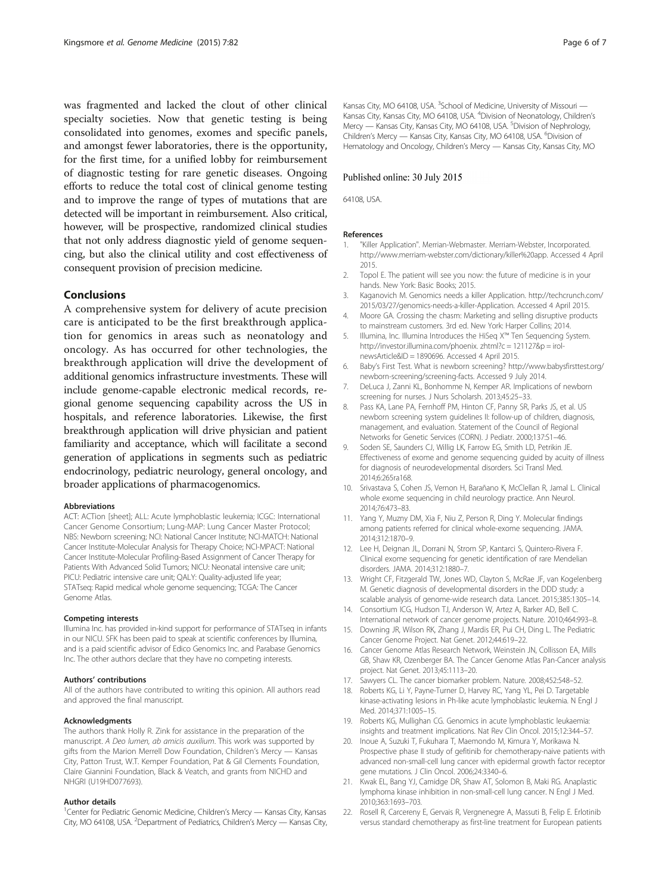<span id="page-5-0"></span>was fragmented and lacked the clout of other clinical specialty societies. Now that genetic testing is being consolidated into genomes, exomes and specific panels, and amongst fewer laboratories, there is the opportunity, for the first time, for a unified lobby for reimbursement of diagnostic testing for rare genetic diseases. Ongoing efforts to reduce the total cost of clinical genome testing and to improve the range of types of mutations that are detected will be important in reimbursement. Also critical, however, will be prospective, randomized clinical studies that not only address diagnostic yield of genome sequencing, but also the clinical utility and cost effectiveness of consequent provision of precision medicine.

### Conclusions

A comprehensive system for delivery of acute precision care is anticipated to be the first breakthrough application for genomics in areas such as neonatology and oncology. As has occurred for other technologies, the breakthrough application will drive the development of additional genomics infrastructure investments. These will include genome-capable electronic medical records, regional genome sequencing capability across the US in hospitals, and reference laboratories. Likewise, the first breakthrough application will drive physician and patient familiarity and acceptance, which will facilitate a second generation of applications in segments such as pediatric endocrinology, pediatric neurology, general oncology, and broader applications of pharmacogenomics.

#### Abbreviations

ACT: ACTion [sheet]; ALL: Acute lymphoblastic leukemia; ICGC: International Cancer Genome Consortium; Lung-MAP: Lung Cancer Master Protocol; NBS: Newborn screening; NCI: National Cancer Institute; NCI-MATCH: National Cancer Institute-Molecular Analysis for Therapy Choice; NCI-MPACT: National Cancer Institute-Molecular Profiling-Based Assignment of Cancer Therapy for Patients With Advanced Solid Tumors; NICU: Neonatal intensive care unit; PICU: Pediatric intensive care unit; QALY: Quality-adjusted life year; STATseq: Rapid medical whole genome sequencing; TCGA: The Cancer Genome Atlas.

#### Competing interests

Illumina Inc. has provided in-kind support for performance of STATseq in infants in our NICU. SFK has been paid to speak at scientific conferences by Illumina, and is a paid scientific advisor of Edico Genomics Inc. and Parabase Genomics Inc. The other authors declare that they have no competing interests.

#### Authors' contributions

All of the authors have contributed to writing this opinion. All authors read and approved the final manuscript.

#### Acknowledgments

The authors thank Holly R. Zink for assistance in the preparation of the manuscript. A Deo lumen, ab amicis auxilium. This work was supported by gifts from the Marion Merrell Dow Foundation, Children's Mercy — Kansas City, Patton Trust, W.T. Kemper Foundation, Pat & Gil Clements Foundation, Claire Giannini Foundation, Black & Veatch, and grants from NICHD and NHGRI (U19HD077693).

#### Author details

<sup>1</sup> Center for Pediatric Genomic Medicine, Children's Mercy — Kansas City, Kansas City, MO 64108, USA. <sup>2</sup>Department of Pediatrics, Children's Mercy — Kansas City,

Kansas City, MO 64108, USA. <sup>3</sup>School of Medicine, University of Missouri — Kansas City, Kansas City, MO 64108, USA. <sup>4</sup>Division of Neonatology, Children's Mercy — Kansas City, Kansas City, MO 64108, USA. <sup>5</sup>Division of Nephrology Children's Mercy - Kansas City, Kansas City, MO 64108, USA. <sup>6</sup>Division of Hematology and Oncology, Children's Mercy — Kansas City, Kansas City, MO

#### Published online: 30 July 2015

64108, USA.

#### References

- 1. "Killer Application". Merrian-Webmaster. Merriam-Webster, Incorporated. <http://www.merriam-webster.com/dictionary/killer%20app>. Accessed 4 April 2015.
- 2. Topol E. The patient will see you now: the future of medicine is in your hands. New York: Basic Books; 2015.
- 3. Kaganovich M. Genomics needs a killer Application. [http://techcrunch.com/](http://techcrunch.com/2015/03/27/genomics-needs-a-killer-Application) [2015/03/27/genomics-needs-a-killer-Application.](http://techcrunch.com/2015/03/27/genomics-needs-a-killer-Application) Accessed 4 April 2015.
- 4. Moore GA. Crossing the chasm: Marketing and selling disruptive products to mainstream customers. 3rd ed. New York: Harper Collins; 2014.
- 5. Illumina, Inc. Illumina Introduces the HiSeq X™ Ten Sequencing System. <http://investor.illumina.com/phoenix>. zhtml?c = 121127&p = irolnewsArticle&ID = 1890696. Accessed 4 April 2015.
- 6. Baby's First Test. What is newborn screening? [http://www.babysfirsttest.org/](http://www.babysfirsttest.org/newborn-screening/screening-facts) [newborn-screening/screening-facts](http://www.babysfirsttest.org/newborn-screening/screening-facts). Accessed 9 July 2014.
- 7. DeLuca J, Zanni KL, Bonhomme N, Kemper AR. Implications of newborn screening for nurses. J Nurs Scholarsh. 2013;45:25–33.
- 8. Pass KA, Lane PA, Fernhoff PM, Hinton CF, Panny SR, Parks JS, et al. US newborn screening system guidelines II: follow-up of children, diagnosis, management, and evaluation. Statement of the Council of Regional Networks for Genetic Services (CORN). J Pediatr. 2000;137:S1–46.
- 9. Soden SE, Saunders CJ, Willig LK, Farrow EG, Smith LD, Petrikin JE. Effectiveness of exome and genome sequencing guided by acuity of illness for diagnosis of neurodevelopmental disorders. Sci Transl Med. 2014;6:265ra168.
- 10. Srivastava S, Cohen JS, Vernon H, Barañano K, McClellan R, Jamal L. Clinical whole exome sequencing in child neurology practice. Ann Neurol. 2014;76:473–83.
- 11. Yang Y, Muzny DM, Xia F, Niu Z, Person R, Ding Y. Molecular findings among patients referred for clinical whole-exome sequencing. JAMA. 2014;312:1870–9.
- 12. Lee H, Deignan JL, Dorrani N, Strom SP, Kantarci S, Quintero-Rivera F. Clinical exome sequencing for genetic identification of rare Mendelian disorders. JAMA. 2014;312:1880–7.
- 13. Wright CF, Fitzgerald TW, Jones WD, Clayton S, McRae JF, van Kogelenberg M. Genetic diagnosis of developmental disorders in the DDD study: a scalable analysis of genome-wide research data. Lancet. 2015;385:1305–14.
- 14. Consortium ICG, Hudson TJ, Anderson W, Artez A, Barker AD, Bell C. International network of cancer genome projects. Nature. 2010;464:993–8.
- 15. Downing JR, Wilson RK, Zhang J, Mardis ER, Pui CH, Ding L. The Pediatric Cancer Genome Project. Nat Genet. 2012;44:619–22.
- 16. Cancer Genome Atlas Research Network, Weinstein JN, Collisson EA, Mills GB, Shaw KR, Ozenberger BA. The Cancer Genome Atlas Pan-Cancer analysis project. Nat Genet. 2013;45:1113–20.
- 17. Sawyers CL. The cancer biomarker problem. Nature. 2008;452:548–52.
- 18. Roberts KG, Li Y, Payne-Turner D, Harvey RC, Yang YL, Pei D. Targetable kinase-activating lesions in Ph-like acute lymphoblastic leukemia. N Engl J Med. 2014;371:1005–15.
- 19. Roberts KG, Mullighan CG. Genomics in acute lymphoblastic leukaemia: insights and treatment implications. Nat Rev Clin Oncol. 2015;12:344–57.
- 20. Inoue A, Suzuki T, Fukuhara T, Maemondo M, Kimura Y, Morikawa N. Prospective phase II study of gefitinib for chemotherapy-naive patients with advanced non-small-cell lung cancer with epidermal growth factor receptor gene mutations. J Clin Oncol. 2006;24:3340–6.
- 21. Kwak EL, Bang YJ, Camidge DR, Shaw AT, Solomon B, Maki RG. Anaplastic lymphoma kinase inhibition in non-small-cell lung cancer. N Engl J Med. 2010;363:1693–703.
- 22. Rosell R, Carcereny E, Gervais R, Vergnenegre A, Massuti B, Felip E. Erlotinib versus standard chemotherapy as first-line treatment for European patients